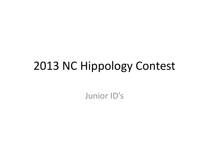### 2013 NC Hippology Contest

Junior ID's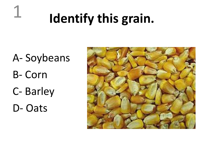## **Identify this grain.**

A- Soybeans B- Corn C- Barley D- Oats

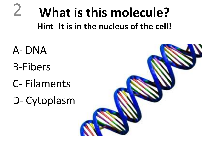#### **What is this molecule? Hint- It is in the nucleus of the cell!** 2

- A- DNA B-Fibers C- Filaments
- D- Cytoplasm

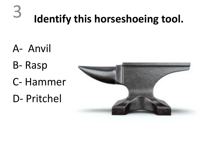### **Identify this horseshoeing tool.**

A- Anvil

- B- Rasp
- C- Hammer
- D- Pritchel

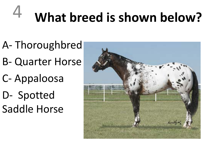#### **What breed is shown below?** 4

- A- Thoroughbred
- B- Quarter Horse
- C- Appaloosa
- D- Spotted Saddle Horse

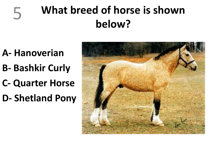### **What breed of horse is shown below?**

**A- Hanoverian** 

- **B- Bashkir Curly**
- **C- Quarter Horse**
- **D- Shetland Pony**

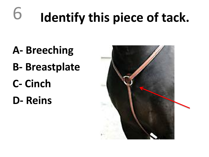#### **Identify this piece of tack.** 6

- **A- Breeching**
- **B- Breastplate**
- **C- Cinch**
- **D- Reins**

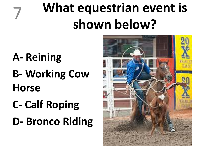## **What equestrian event is shown below?**

**A- Reining B- Working Cow Horse**

- **C- Calf Roping**
- **D- Bronco Riding**

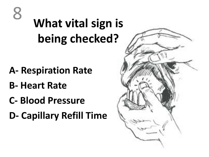### **What vital sign is being checked?**

- **A- Respiration Rate**
- **B- Heart Rate**
- **C- Blood Pressure**
- **D- Capillary Refill Time**

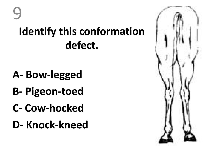### **Identify this conformation defect.** 9

- **A- Bow-legged**
- **B- Pigeon-toed**
- **C- Cow-hocked**
- **D- Knock-kneed**

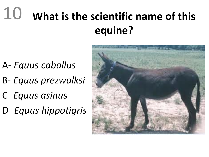#### **What is the scientific name of this equine?** 10

- A- *Equus caballus*
- B- *Equus prezwalksi*
- C- *Equus asinus*
- D- *Equus hippotigris*

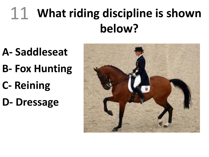#### **What riding discipline is shown below?** 11

- **A- Saddleseat**
- **B- Fox Hunting**
- **C- Reining**
- **D- Dressage**

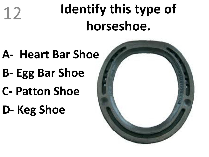## **Identify this type of horseshoe.**

- **A- Heart Bar Shoe**
- **B- Egg Bar Shoe**
- **C- Patton Shoe**
- **D- Keg Shoe**

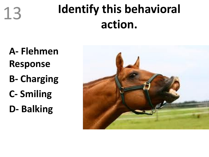

### **Identify this behavioral action.**

**A- Flehmen Response B- Charging C- Smiling D- Balking**

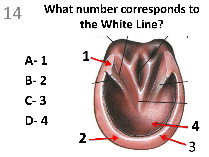





**A- 1 B- 2 C- 3 D- 4**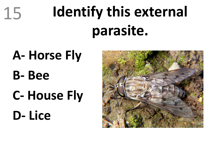# **Identify this external parasite.**

**A- Horse Fly B- Bee C- House Fly D- Lice**

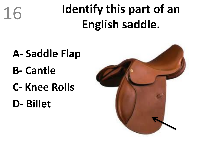

### **Identify this part of an English saddle.**

- **A- Saddle Flap B- Cantle**
- **C- Knee Rolls**
- **D- Billet**

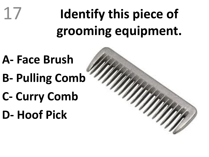#### **Identify this piece of grooming equipment.** 17

- **A- Face Brush**
- **B- Pulling Comb**
- **C- Curry Comb**
- **D- Hoof Pick**

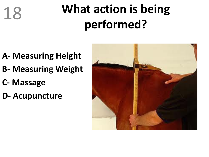### **What action is being performed?**

- **A- Measuring Height**
- **B- Measuring Weight**
- **C- Massage**
- **D- Acupuncture**

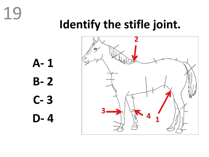### **Identify the stifle joint.**



**A- 1 B- 2 C- 3 D- 4 <sup>1</sup>**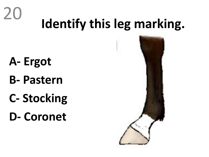## **Identify this leg marking.**

**A- Ergot**

- **B- Pastern**
- **C- Stocking**
- **D- Coronet**

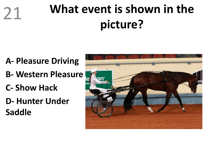### **What event is shown in the picture?**

- **A- Pleasure Driving**
- **B- Western Pleasure**
- **C- Show Hack**
- **D- Hunter Under Saddle**

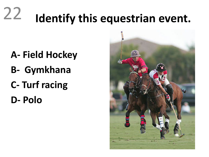#### **Identify this equestrian event.** 22

- **A- Field Hockey**
- **B- Gymkhana**
- **C- Turf racing**
- **D- Polo**

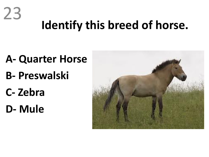# **Identify this breed of horse.**

- **A- Quarter Horse B- Preswalski**
- **C- Zebra**

23

**D- Mule**

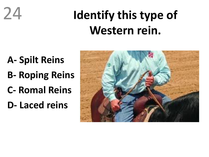### **Identify this type of Western rein.**

**A- Spilt Reins B- Roping Reins C- Romal Reins D- Laced reins**

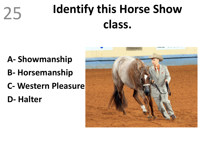### **Identify this Horse Show class.**

- **A- Showmanship**
- **B- Horsemanship**
- **C- Western Pleasure**
- **D- Halter**

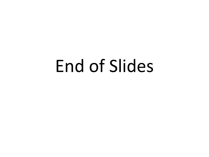## End of Slides